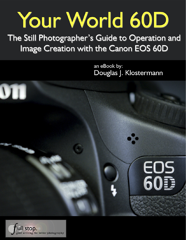# Your World 60D

The Still Photographer's Guide to Operation and Image Creation with the Canon EOS 60D

> an eBook by: Douglas J. Klostermann



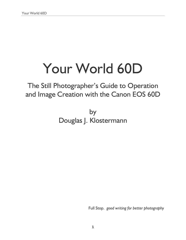# Your World 60D

# The Still Photographer's Guide to Operation and Image Creation with the Canon EOS 60D

by Douglas J. Klostermann

Full Stop. *good writing for better photography*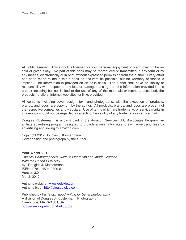All rights reserved. This e-book is licensed for your personal enjoyment only and may not be resold or given away. No part of this book may be reproduced or transmitted in any form or by any means, electronically or in print, without expressed permission from the author. Every effort has been made to make this e-book as accurate as possible, but no warranty of fitness is implied. The information is provided on an as-is basis. The author shall have no liability or responsibility with respect to any loss or damages arising from the information provided in this e-book including but not limited to the use of any of the materials or methods described, the products, retailers, Internet web sites, or links provided.

All contents including cover design, text, and photographs, with the exception of products, brands, and logos, are copyright by the author. All products, brands, and logos are property of the respective companies and websites. Use of terms which are trademarks or service marks in this e-book should not be regarded as affecting the validity of any trademark or service mark.

Douglas Klostermann is a participant in the Amazon Services LLC Associates Program, an affiliate advertising program designed to provide a means for sites to earn advertising fees by advertising and linking to amazon.com.

Copyright 2012 Douglas J. Klostermann Cover design and photograph by the author.

**Your World 60D** *The Still Photographer's Guide to Operation and Image Creation With the Canon EOS 60D* by: Douglas J. Klostermann ISBN: 978-1-4524-2300-5 Version 3.0 March 2012

Author's website: [www.dojoklo.com](http://www.dojoklo.com/) Author's blog: [http://blog.dojoklo.com](http://blog.dojoklo.com/)

Published by Full Stop. *good writing for better photography* A division of Douglas J. Klostermann Photography Cambridge, MA 02138 USA [http://www.dojoklo.com/Full\\_Stop/](http://www.dojoklo.com/Full_Stop/)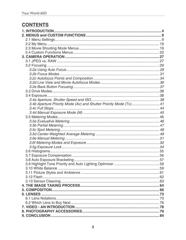## **CONTENTS**

| 3.4b Aperture Priority Mode (Av) and Shutter Priority Mode (Tv) 41 |  |
|--------------------------------------------------------------------|--|
|                                                                    |  |
|                                                                    |  |
|                                                                    |  |
|                                                                    |  |
|                                                                    |  |
|                                                                    |  |
|                                                                    |  |
|                                                                    |  |
|                                                                    |  |
|                                                                    |  |
|                                                                    |  |
|                                                                    |  |
|                                                                    |  |
|                                                                    |  |
|                                                                    |  |
|                                                                    |  |
|                                                                    |  |
|                                                                    |  |
|                                                                    |  |
|                                                                    |  |
|                                                                    |  |
|                                                                    |  |
|                                                                    |  |
|                                                                    |  |
|                                                                    |  |
|                                                                    |  |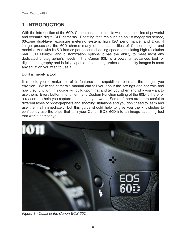### <span id="page-4-0"></span>**1. INTRODUCTION**

With the introduction of the 60D, Canon has continued its well respected line of powerful and versatile digital SLR cameras. Boasting features such as an 18 megapixel sensor, 63-zone dual-layer exposure metering system, high ISO performance, and Digic 4 image processor, the 60D shares many of the capabilities of Canon's higher-end models. And with its 5.3 frames per second shooting speed, articulating high resolution rear LCD Monitor, and customization options it has the ability to meet most any dedicated photographer's needs. The Canon 60D is a powerful, advanced tool for digital photography and is fully capable of capturing professional quality images in most any situation you wish to use it.

But it is merely a tool.

It is up to you to make use of its features and capabilities to create the images you envision. While the camera's manual can tell you about the settings and controls and how they function, this guide will build upon that and tell you when and why you want to use them. Every button, menu item, and Custom Function setting of the 60D is there for a reason: to help you capture the images you want. Some of them are more useful to different types of photographers and shooting situations and you don't need to learn and use them all immediately, but this guide should help to give you the knowledge to confidently use the ones that turn your Canon EOS 60D into an image capturing tool that works best for you.



*Figure 1 - Detail of the Canon EOS 60D*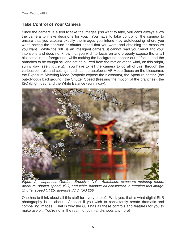#### **Take Control of Your Camera**

Since the camera is a tool to take the images *you* want to take, you can't always allow the camera to make decisions for you. You have to take control of the camera to ensure that you capture exactly the images you intend - by autofocusing where you want, setting the aperture or shutter speed that you want, and obtaining the exposure you want. While the 60D is an intelligent camera, it cannot read your mind and your intentions and does not know that you wish to focus on and properly expose the small blossoms in the foreground, while making the background appear out of focus, and the branches to be caught still and not be blurred from the motion of the wind, on this bright, sunny day (see *Figure 2*). You have to tell the camera to do all of this, through the various controls and settings, such as the autofocus AF Mode (focus on the blossoms), the Exposure Metering Mode (properly expose the blossoms), the Aperture setting (the out-of-focus background), the Shutter Speed (freezing the motion of the branches), the ISO (bright day) and the White Balance (sunny day).



*Figure 2 - Japanese Garden, Brooklyn, NY - Autofocus, exposure metering mode, aperture, shutter speed, ISO, and white balance all considered in creating this image. Shutter speed 1/125, aperture f/6.3, ISO 200* 

One has to think about all this stuff for every photo? Well, yes, that is what digital SLR photography is all about. At least if you wish to consistently create dramatic and compelling images. That is why the 60D has all these controls and features for you to make use of. You're not in the realm of point-and-shoots anymore!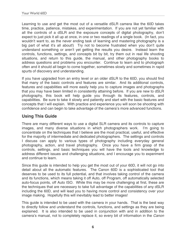Learning to use and get the most out of a versatile dSLR camera like the 60D takes time, practice, patience, mistakes, and experimentation. If you are not yet familiar with all the controls of a dSLR and the exposure concepts of digital photography, don't expect to just pick it all up at once, in one or two readings of a single book. (In fact, you wouldn't want to, as the never ending task of learning and mastering photography is a big part of what it's all about!) Try not to become frustrated when you don't quite understand something or aren't yet getting the results you desire. Instead learn the controls, functions, settings, and concepts bit by bit, try them out in real life shooting situations, and return to this guide, the manual, and other photography books to address questions and problems you encounter. Continue to learn and to photograph often and it should all begin to come together, sometimes slowly and sometimes in rapid spurts of discovery and understanding.

If you have upgraded from an entry level or an older dSLR to the 60D, you should find that many of the basic controls and features are similar. And its additional controls, features and capabilities will more easily help you to capture images and photographs that you may have been limited in consistently attaining before. If you are new to dSLR photography, this book will help guide you through its features, controls, and capabilities. Be sure to take it slowly and patiently and start with the basic features and concepts that I will explain. With practice and experience you will soon be shooting with confidence and can begin to take advantage of the camera's more advanced functions.

#### **Using This Guide**

There are many different ways to use a digital SLR camera and its controls to capture images, and many diverse situations in which photographers work. I'm going to concentrate on the techniques that I believe are the most practical, useful, and effective for the majority of intermediate and dedicated photographers. The settings and controls I discuss can apply to various types of photography including everyday general photography, action, and travel photography. Once you have a firm grasp of the controls, settings, and basic techniques you will have the tools and knowledge to address different issues and challenging situations, and I encourage you to experiment and continue to learn.

Since this guide is intended to help you get the most out of your 60D, it will not go into detail about all the automatic features. The Canon 60D is a sophisticated tool that deserves to be used to its full potential, and that involves taking control of the camera and its functions, which means taking it off Auto, off Program, off automatically selected auto-focus points, off Auto ISO. While this may be more challenging at first, these are the techniques that are necessary to take full advantage of the capabilities of any dSLR including the 60D, and will lead you to having more control and consistency over your image making. Hopefully this will inevitably lead to better images!

This guide is intended to be used with the camera in your hands. That is the best way to directly follow and understand the controls, functions, and settings as they are being explained. It is also intended to be used in conjunction with and in addition to the camera's manual, not to completely replace it, so every bit of information in the *Canon*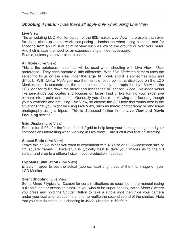#### *Shooting 4 menu - note these all apply only when using Live View*

#### **Live View**

The articulating LCD Monitor screen of the 60D makes Live View more useful than ever for doing close-up macro work, composing a landscape when using a tripod, and for shooting from an unusual point of view such as low to the ground or over your head. And it eliminates the need for an expensive angle finder accessory. Enable, unless you never plan to use this.

#### **AF Mode** (Live View)

This is the autofocus mode that will be used when shooting with Live View. User preference. They each operate a little differently. With *Live Mode* the camera uses the sensor to focus on the area under the large AF Point, and it is sometimes slow and difficult. With *Quick Mode* you use the multiple focus points as displayed on the LCD Monitor, so it is accurate but the camera momentarily interrupts the Live View on the LCD Monitor to flip down the mirror and access the AF sensor. *Face Live Mode* works like *Live Mode* but locates and focuses on faces, kind of like turning your expensive camera into a point and shoot. Generally you should be viewing and focusing though your Viewfinder and not using Live View, so choose the AF Mode that works best in the situations that you might be using Live View, such as macro photography or landscape photography using a tripod. This is discussed further in the **Live View and Movie Focusing** section.

#### **Grid Display** (Live View)

Set this for *Grid 1* for the "rule of thirds" grid to help keep your framing straight and your compositions interesting when working in Live View. Turn it off if you find it distracting.

#### **Aspect Ratio** (Live View)

Leave this at 3:2 unless you want to experiment with 4:3 size or 16:9 widescreen size or 1:1 square frames. However, it is typically best to take your images using the full sensor and crop to a different size in post-production if desired.

#### **Exposure Simulation** (Live View)

*Enable* in order to see the actual (approximate) brightness of the final image on your LCD Monitor.

#### **Silent Shooting** (Live View)

Set to *Mode 1* typically. *Disable* for certain situations as specified in the manual (using a tilt-shift lens or extension tube). If you wish to be super-sneaky, set to *Mode 2* where you press and hold the Shutter Button to take a single shot then hide your camera under your coat and release the shutter to muffle the second sound of the shutter. Note that you can do continuous shooting in *Mode 1* but not in *Mode 2*.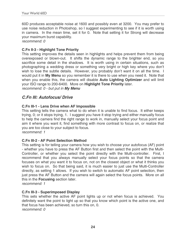60D produces acceptable noise at 1600 and possibly even at 3200. You may prefer to use noise reduction in Photoshop, so I suggest experimenting to see if it is worth using in camera. In the mean time, set it for 0. Note that setting it for Strong will decrease your maximum burst capability.

*recommend: 0* 

#### **C.Fn II-3 - Highlight Tone Priority**

This setting improves the details seen in highlights and helps prevent them from being overexposed or blown-out. It shifts the dynamic range to the brighter end, so you sacrifice some detail in the shadows. It is worth using in certain situations, such as photographing a wedding dress or something very bright or high key where you don't wish to lose the subtle details. However, you probably don't want it on all the time. I would put it in **My Menu** so you remember it is there to use when you need it. Note that when you enable this, the camera will disable **Auto Lighting Optimizer** and will limit your ISO range to 200-6400. More on **Highlight Tone Priority** later. *recommend: 0 - but put in My Menu*

#### *C.Fn III: Autofocus/ Drive*

#### **C.Fn III-1 - Lens Drive when AF Impossible**

This setting tells the camera what to do when it is unable to find focus. It either keeps trying, 0; or it stops trying, 1. I suggest you have it stop trying and either manually focus to help the camera find the right range to work in, manually select your focus point and aim it where you want it, find something with more contrast to focus on, or realize that you are too close to your subject to focus.

*recommend: 1* 

#### **C.Fn III-2 - AF Point Selection Method**

This setting is for telling your camera how you wish to choose your autofocus (AF) point - whether you have to press the AF Button first and then select the point with the Multi-Controller, or whether you select the point directly with the Multi-controller. First, I recommend that you always manually select your focus points so that the camera focuses on what you want it to focus on, not on the closest object or what it thinks you wish to focus on. So that being said, it is much easier to just use the Multi-Controller directly, as setting 1 allows. If you wish to switch to automatic AF point selection, then just press the AF Button and the camera will again select the focus points. More on all this in the **Focusing** section later.

*recommend: 1* 

#### **C.Fn III-3 - Superimposed Display**

This sets whether the active AF point lights up or not when focus is achieved. You definitely want the point to light up so that you know which point is the active one, and that focus has been achieved, so turn this on, 0. *recommend: 0*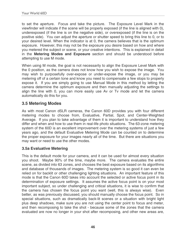to set the aperture. Focus and take the picture. The Exposure Level Mark in the viewfinder will indicate if the scene will be properly exposed (if the line is aligned with 0), underexposed (if the line is on the negative side), or overexposed (if the line is on the positive side). You can adjust the aperture or shutter speed to bring this line to 0, or to your desired level. When the indicator is at 0, the camera believes that is the optimum exposure. However, this may not be the exposure you desire based on how and where you metered the subject or scene, or your creative intentions. This is explained in detail in the **Metering Modes and Exposure** section and should be understood before attempting to use M mode.

When using M mode, the goal is not necessarily to align the Exposure Level Mark with the 0 position, as the camera does not know how you wish to expose the image. You may wish to purposefully over-expose or under-expose the image, or you may be metering off of a certain tone and know you need to compensate a few stops to properly expose it. If you are simply going to use Manual Mode in this method by letting the camera determine the optimum exposure and then manually adjusting the settings to align the line with 0, you can more easily use Av or Tv mode and let the camera automatically do this for you.

#### <span id="page-9-0"></span>**3.5 Metering Modes**

As with most Canon dSLR cameras, the Canon 60D provides you with four different metering modes to choose from, Evaluative, Partial, Spot, and Center-Weighted Average. If you plan to take advantage of them it is important to understand how they differ and when and how to use them in real-life photo situations. The 63-zone metering system of the 60D is an excellent improvement over the metering systems of just a few years ago, and the default Evaluative Metering Mode can be counted on to determine the proper exposure for your images nearly all of the time. But there are situations you may want or need to use the other modes.

#### <span id="page-9-1"></span>**3.5a Evaluative Metering**

This is the default mode for your camera, and it can be used for almost every situation you shoot. Maybe 90% of the time, maybe more. The camera evaluates the entire scene, as divided into 63 zones, and chooses the best exposure based on its algorithms and database of thousands of images. The metering system is so good it can even be relied on for backlit or other challenging lighting situations. An important feature of this mode is that the Canon 60D takes into account the selected or active focus point in its determination of exposure settings. It assumes the active focus point is on your most important subject, so under challenging and critical situations, it is wise to confirm that the camera has chosen the focus point you want (well, this is always wise). Even better, as was previously discussed, you should manually choose the focus point. So in special situations, such as dramatically back-lit scenes or a situation with bright light plus deep shadows, make sure you are not using the center point to focus and meter, and then recomposing to take the shot - because some of the zones that the camera evaluated are now no longer in your shot after recomposing, and other new areas are,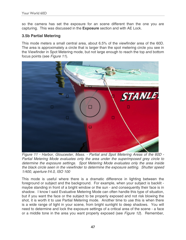so the camera has set the exposure for an scene different than the one you are capturing. This was discussed in the **Exposure** section and with AE Lock.

#### <span id="page-10-0"></span>**3.5b Partial Metering**

This mode meters a small central area, about 6.5% of the viewfinder area of the 60D. The area is approximately a circle that is larger than the spot metering circle you see in the Viewfinder in Spot Metering mode, but not large enough to reach the top and bottom focus points (see *Figure 11*).



*Figure 11 - Harbor, Gloucester, Mass. - Partial and Spot Metering Areas of the 60D - Partial Metering Mode evaluates only the area under the superimposed grey circle to determine the exposure settings. Spot Metering Mode evaluates only the area inside the black circle seen in the viewfinder to determine the exposure setting. Shutter speed 1/400, aperture f/4.0, ISO 100*

This mode is useful where there is a dramatic difference in lighting between the foreground or subject and the background. For example, when your subject is backlit maybe standing in front of a bright window or the sun - and consequently their face is in shadow. I know I said Evaluative Metering Mode can often handle this type of situation, but if you want the face or the subject to be properly exposed and not risk blowing the shot, it is worth it to use Partial Metering mode. Another time to use this is when there is a wide range of light in your scene, from bright sunlight to deep shadows. You will need to determine and lock the exposure settings of a critical area of the scene - a face or a middle tone in the area you want properly exposed (see *Figure 12*). Remember,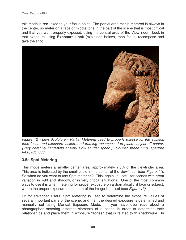this mode is *not* linked to your focus point. The partial area that is metered is always in the center, so meter on a face or middle tone in the part of the scene that is most critical and that you want properly exposed, using the central area of the Viewfinder. Lock in that exposure using **Exposure Lock** (explained below), then focus, recompose and take the shot.



*Figure 12 - Lion Sculpture - Partial Metering used to properly expose for the subject, then focus and exposure locked, and framing recomposed to place subject off center. (Very carefully hand-held at very slow shutter speed.) Shutter speed 1/13, aperture f/4.0, ISO 800*

#### <span id="page-11-0"></span>**3.5c Spot Metering**

This mode meters a smaller center area, approximately 2.8% of the viewfinder area. This area is indicated by the small circle in the center of the viewfinder (see *Figure 11*). So when do you want to use Spot metering? This, again, is useful for scenes with great variation in light and shadow, or in very critical situations. One of the most common ways to use it is when metering for proper exposure on a dramatically lit face or subject, where the proper exposure of that part of the image is critical (see *Figure 13)*.

Or for advanced users, Spot Metering is used to determine the exposure values of several important parts of the scene, and then the desired exposure is determined and manually set using Manual Exposure Mode. If you have ever read about a photographer metering different elements of a scene in order to determine their relationships and place them in exposure "zones," that is related to this technique. In